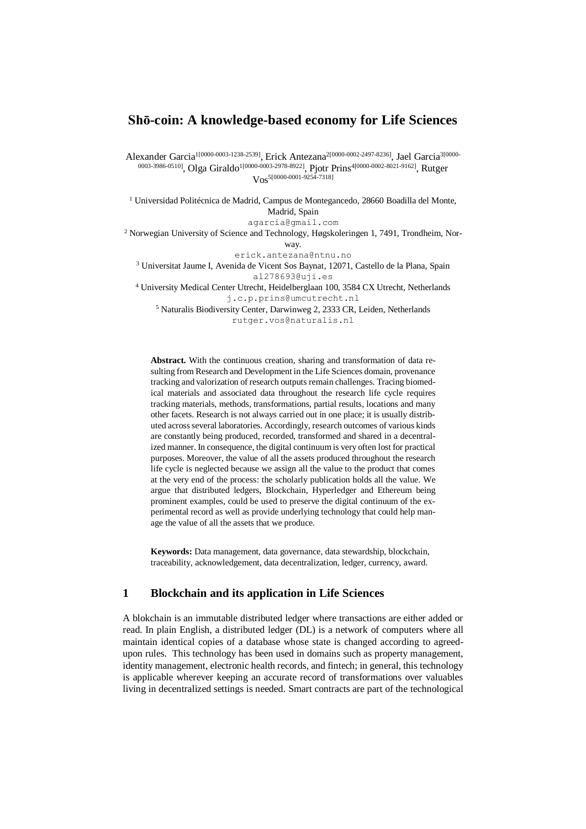## **Shō-coin: A knowledge-based economy for Life Sciences**

Alexander Garcia1[0000-0003-1238-2539], Erick Antezana2[0000-0002-2497-8236], Jael Garcia3[0000- 0003-3986-0510], Olga Giraldo<sup>1[0000-0003-2978-8922]</sup>, Pjotr Prins<sup>4[0000-0002-8021-9162], Rutger</sup>  $V_{OS}$ <sup>5[0000-0001-9254-7318]</sup>

 $1$  Universidad Politécnica de Madrid, Campus de Montegancedo, 28660 Boadilla del Monte, Madrid, Spain agarcia@gmail.com <sup>2</sup> Norwegian University of Science and Technology, Høgskoleringen 1, 7491, Trondheim, Norway. erick.antezana@ntnu.no <sup>3</sup> Universitat Jaume I, Avenida de Vicent Sos Baynat, 12071, Castello de la Plana, Spain al278693@uji.es <sup>4</sup> [University Medical Center Utrecht,](https://www.google.co.uk/search?dcr=0&q=University+Medical+Center+Utrecht&spell=1&sa=X&ved=0ahUKEwjI9teSrtfWAhUKDsAKHQKgAzEQvwUIIygA) Heidelberglaan 100, 3584 CX Utrecht, Netherlands

j.c.p.prins@umcutrecht.nl

<sup>5</sup> Naturalis Biodiversity Center, Darwinweg 2, 2333 CR, Leiden, Netherlands rutger.vos@naturalis.nl

**Abstract.** With the continuous creation, sharing and transformation of data resulting from Research and Development in the Life Sciences domain, provenance tracking and valorization of research outputs remain challenges. Tracing biomedical materials and associated data throughout the research life cycle requires tracking materials, methods, transformations, partial results, locations and many other facets. Research is not always carried out in one place; it is usually distributed across several laboratories. Accordingly, research outcomes of various kinds are constantly being produced, recorded, transformed and shared in a decentralized manner. In consequence, the digital continuum is very often lost for practical purposes. Moreover, the value of all the assets produced throughout the research life cycle is neglected because we assign all the value to the product that comes at the very end of the process: the scholarly publication holds all the value. We argue that distributed ledgers, Blockchain, Hyperledger and Ethereum being prominent examples, could be used to preserve the digital continuum of the experimental record as well as provide underlying technology that could help manage the value of all the assets that we produce.

**Keywords:** Data management, data governance, data stewardship, blockchain, traceability, acknowledgement, data decentralization, ledger, currency, award.

## **1 Blockchain and its application in Life Sciences**

A blokchain is an immutable distributed ledger where transactions are either added or read. In plain English, a distributed ledger (DL) is a network of computers where all maintain identical copies of a database whose state is changed according to agreedupon rules. This technology has been used in domains such as property management, identity management, electronic health records, and fintech; in general, this technology is applicable wherever keeping an accurate record of transformations over valuables living in decentralized settings is needed. Smart contracts are part of the technological